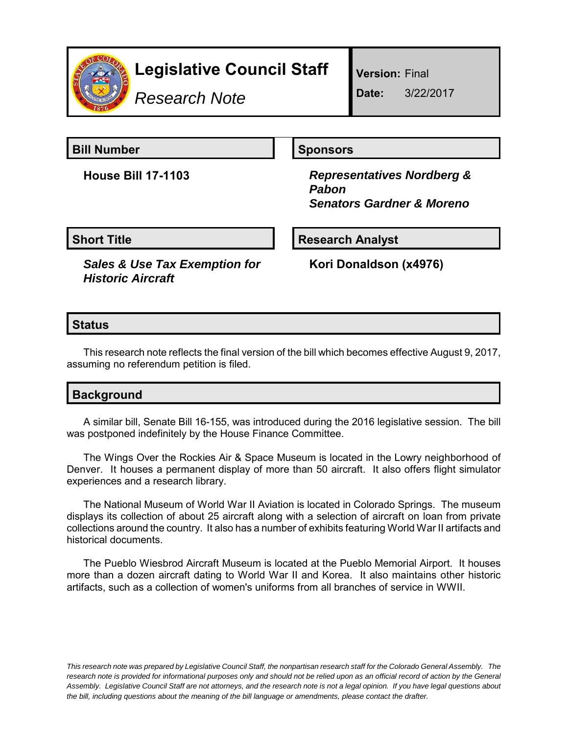

# **Legislative Council Staff**

*Research Note*

**Version:** Final

**Date:** 3/22/2017

**Bill Number Sponsors** 

**House Bill 17-1103** *Representatives Nordberg & Pabon Senators Gardner & Moreno*

**Short Title Community Community Community Research Analyst** 

*Sales & Use Tax Exemption for Historic Aircraft*

**Kori Donaldson (x4976)**

# **Status**

This research note reflects the final version of the bill which becomes effective August 9, 2017, assuming no referendum petition is filed.

## **Background**

A similar bill, Senate Bill 16-155, was introduced during the 2016 legislative session. The bill was postponed indefinitely by the House Finance Committee.

The Wings Over the Rockies Air & Space Museum is located in the Lowry neighborhood of Denver. It houses a permanent display of more than 50 aircraft. It also offers flight simulator experiences and a research library.

The National Museum of World War II Aviation is located in Colorado Springs. The museum displays its collection of about 25 aircraft along with a selection of aircraft on loan from private collections around the country. It also has a number of exhibits featuring World War II artifacts and historical documents.

The Pueblo Wiesbrod Aircraft Museum is located at the Pueblo Memorial Airport. It houses more than a dozen aircraft dating to World War II and Korea. It also maintains other historic artifacts, such as a collection of women's uniforms from all branches of service in WWII.

*This research note was prepared by Legislative Council Staff, the nonpartisan research staff for the Colorado General Assembly. The research note is provided for informational purposes only and should not be relied upon as an official record of action by the General Assembly. Legislative Council Staff are not attorneys, and the research note is not a legal opinion. If you have legal questions about the bill, including questions about the meaning of the bill language or amendments, please contact the drafter.*